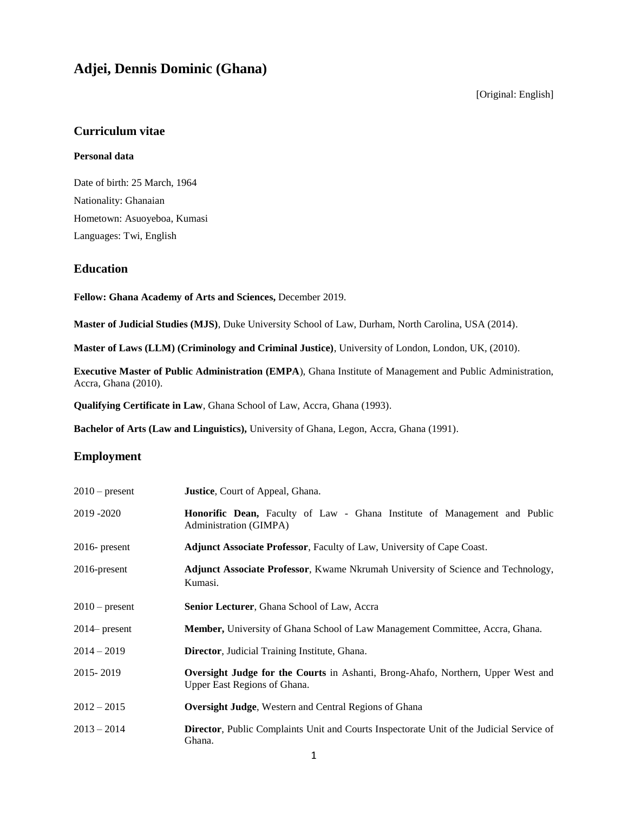# **Adjei, Dennis Dominic (Ghana)**

[Original: English]

# **Curriculum vitae**

### **Personal data**

Date of birth: 25 March, 1964 Nationality: Ghanaian Hometown: Asuoyeboa, Kumasi Languages: Twi, English

### **Education**

**Fellow: Ghana Academy of Arts and Sciences,** December 2019.

**Master of Judicial Studies (MJS)**, Duke University School of Law, Durham, North Carolina, USA (2014).

**Master of Laws (LLM) (Criminology and Criminal Justice)**, University of London, London, UK, (2010).

**Executive Master of Public Administration (EMPA**), Ghana Institute of Management and Public Administration, Accra, Ghana (2010).

**Qualifying Certificate in Law**, Ghana School of Law, Accra, Ghana (1993).

**Bachelor of Arts (Law and Linguistics),** University of Ghana, Legon, Accra, Ghana (1991).

## **Employment**

| $2010$ – present | <b>Justice</b> , Court of Appeal, Ghana.                                                                                |
|------------------|-------------------------------------------------------------------------------------------------------------------------|
| 2019 - 2020      | <b>Honorific Dean,</b> Faculty of Law - Ghana Institute of Management and Public<br>Administration (GIMPA)              |
| $2016$ - present | <b>Adjunct Associate Professor, Faculty of Law, University of Cape Coast.</b>                                           |
| $2016$ -present  | Adjunct Associate Professor, Kwame Nkrumah University of Science and Technology,<br>Kumasi.                             |
| $2010$ – present | <b>Senior Lecturer, Ghana School of Law, Accra</b>                                                                      |
| $2014$ present   | <b>Member,</b> University of Ghana School of Law Management Committee, Accra, Ghana.                                    |
| $2014 - 2019$    | <b>Director</b> , Judicial Training Institute, Ghana.                                                                   |
| 2015 - 2019      | <b>Oversight Judge for the Courts</b> in Ashanti, Brong-Ahafo, Northern, Upper West and<br>Upper East Regions of Ghana. |
| $2012 - 2015$    | <b>Oversight Judge, Western and Central Regions of Ghana</b>                                                            |
| $2013 - 2014$    | <b>Director</b> , Public Complaints Unit and Courts Inspectorate Unit of the Judicial Service of<br>Ghana.              |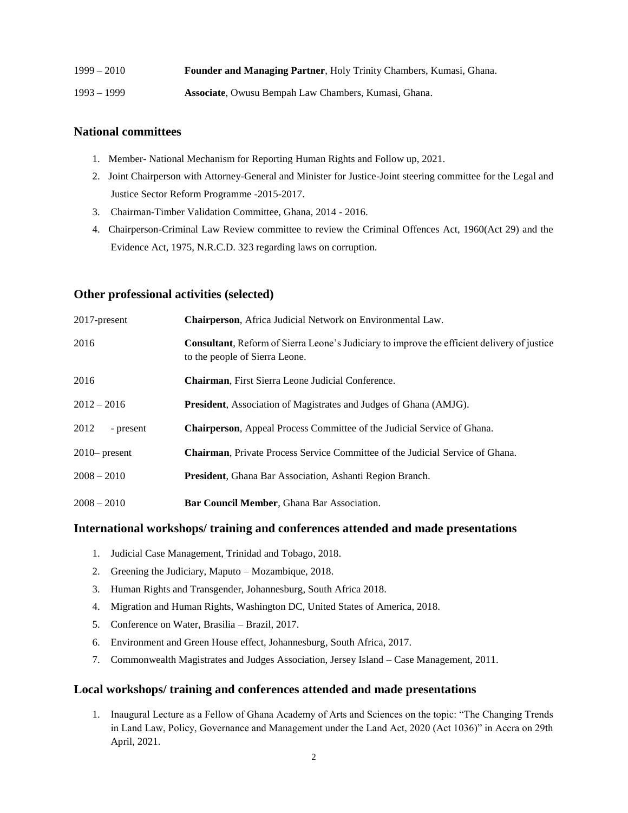| $1999 - 2010$ | Founder and Managing Partner, Holy Trinity Chambers, Kumasi, Ghana. |
|---------------|---------------------------------------------------------------------|
| $1993 - 1999$ | <b>Associate</b> , Owusu Bempah Law Chambers, Kumasi, Ghana.        |

# **National committees**

- 1. Member- National Mechanism for Reporting Human Rights and Follow up, 2021.
- 2. Joint Chairperson with Attorney-General and Minister for Justice-Joint steering committee for the Legal and Justice Sector Reform Programme -2015-2017.
- 3. Chairman-Timber Validation Committee, Ghana, 2014 2016.
- 4. Chairperson-Criminal Law Review committee to review the Criminal Offences Act, 1960(Act 29) and the Evidence Act, 1975, N.R.C.D. 323 regarding laws on corruption.

### **Other professional activities (selected)**

| 2017-present      | Chairperson, Africa Judicial Network on Environmental Law.                                                                            |
|-------------------|---------------------------------------------------------------------------------------------------------------------------------------|
| 2016              | <b>Consultant</b> , Reform of Sierra Leone's Judiciary to improve the efficient delivery of justice<br>to the people of Sierra Leone. |
| 2016              | <b>Chairman, First Sierra Leone Judicial Conference.</b>                                                                              |
| $2012 - 2016$     | <b>President</b> , Association of Magistrates and Judges of Ghana (AMJG).                                                             |
| 2012<br>- present | <b>Chairperson, Appeal Process Committee of the Judicial Service of Ghana.</b>                                                        |
| $2010$ present    | <b>Chairman, Private Process Service Committee of the Judicial Service of Ghana.</b>                                                  |
| $2008 - 2010$     | <b>President</b> , Ghana Bar Association, Ashanti Region Branch.                                                                      |
| $2008 - 2010$     | Bar Council Member, Ghana Bar Association.                                                                                            |

#### **International workshops/ training and conferences attended and made presentations**

- 1. Judicial Case Management, Trinidad and Tobago, 2018.
- 2. Greening the Judiciary, Maputo Mozambique, 2018.
- 3. Human Rights and Transgender, Johannesburg, South Africa 2018.
- 4. Migration and Human Rights, Washington DC, United States of America, 2018.
- 5. Conference on Water, Brasilia Brazil, 2017.
- 6. Environment and Green House effect, Johannesburg, South Africa, 2017.
- 7. Commonwealth Magistrates and Judges Association, Jersey Island Case Management, 2011.

### **Local workshops/ training and conferences attended and made presentations**

1. Inaugural Lecture as a Fellow of Ghana Academy of Arts and Sciences on the topic: "The Changing Trends in Land Law, Policy, Governance and Management under the Land Act, 2020 (Act 1036)" in Accra on 29th April, 2021.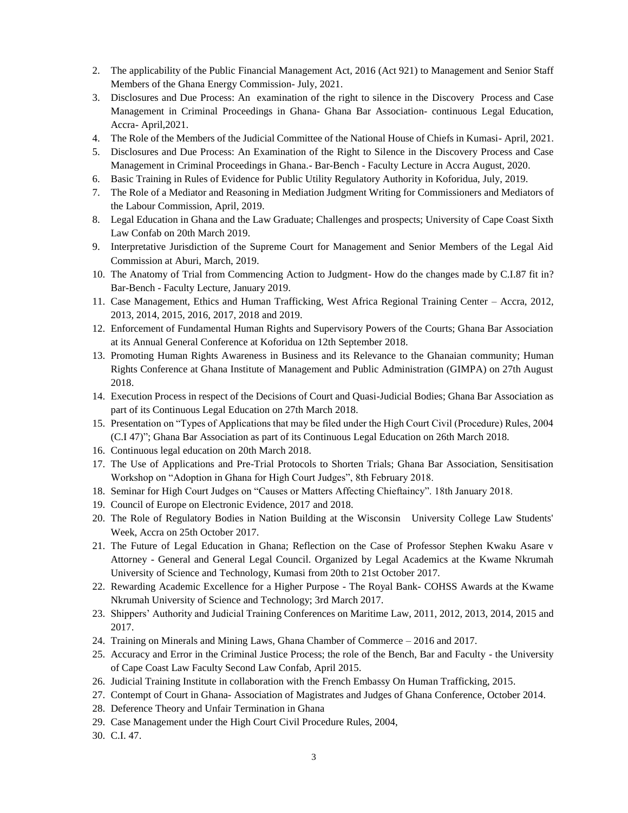- 2. The applicability of the Public Financial Management Act, 2016 (Act 921) to Management and Senior Staff Members of the Ghana Energy Commission- July, 2021.
- 3. Disclosures and Due Process: An examination of the right to silence in the Discovery Process and Case Management in Criminal Proceedings in Ghana- Ghana Bar Association- continuous Legal Education, Accra- April,2021.
- 4. The Role of the Members of the Judicial Committee of the National House of Chiefs in Kumasi- April, 2021.
- 5. Disclosures and Due Process: An Examination of the Right to Silence in the Discovery Process and Case Management in Criminal Proceedings in Ghana.- Bar-Bench - Faculty Lecture in Accra August, 2020.
- 6. Basic Training in Rules of Evidence for Public Utility Regulatory Authority in Koforidua, July, 2019.
- 7. The Role of a Mediator and Reasoning in Mediation Judgment Writing for Commissioners and Mediators of the Labour Commission, April, 2019.
- 8. Legal Education in Ghana and the Law Graduate; Challenges and prospects; University of Cape Coast Sixth Law Confab on 20th March 2019.
- 9. Interpretative Jurisdiction of the Supreme Court for Management and Senior Members of the Legal Aid Commission at Aburi, March, 2019.
- 10. The Anatomy of Trial from Commencing Action to Judgment- How do the changes made by C.I.87 fit in? Bar-Bench - Faculty Lecture, January 2019.
- 11. Case Management, Ethics and Human Trafficking, West Africa Regional Training Center Accra, 2012, 2013, 2014, 2015, 2016, 2017, 2018 and 2019.
- 12. Enforcement of Fundamental Human Rights and Supervisory Powers of the Courts; Ghana Bar Association at its Annual General Conference at Koforidua on 12th September 2018.
- 13. Promoting Human Rights Awareness in Business and its Relevance to the Ghanaian community; Human Rights Conference at Ghana Institute of Management and Public Administration (GIMPA) on 27th August 2018.
- 14. Execution Process in respect of the Decisions of Court and Quasi-Judicial Bodies; Ghana Bar Association as part of its Continuous Legal Education on 27th March 2018.
- 15. Presentation on "Types of Applications that may be filed under the High Court Civil (Procedure) Rules, 2004 (C.I 47)"; Ghana Bar Association as part of its Continuous Legal Education on 26th March 2018.
- 16. Continuous legal education on 20th March 2018.
- 17. The Use of Applications and Pre-Trial Protocols to Shorten Trials; Ghana Bar Association, Sensitisation Workshop on "Adoption in Ghana for High Court Judges", 8th February 2018.
- 18. Seminar for High Court Judges on "Causes or Matters Affecting Chieftaincy". 18th January 2018.
- 19. Council of Europe on Electronic Evidence, 2017 and 2018.
- 20. The Role of Regulatory Bodies in Nation Building at the Wisconsin University College Law Students' Week, Accra on 25th October 2017.
- 21. The Future of Legal Education in Ghana; Reflection on the Case of Professor Stephen Kwaku Asare v Attorney - General and General Legal Council. Organized by Legal Academics at the Kwame Nkrumah University of Science and Technology, Kumasi from 20th to 21st October 2017.
- 22. Rewarding Academic Excellence for a Higher Purpose The Royal Bank- COHSS Awards at the Kwame Nkrumah University of Science and Technology; 3rd March 2017.
- 23. Shippers' Authority and Judicial Training Conferences on Maritime Law, 2011, 2012, 2013, 2014, 2015 and 2017.
- 24. Training on Minerals and Mining Laws, Ghana Chamber of Commerce 2016 and 2017.
- 25. Accuracy and Error in the Criminal Justice Process; the role of the Bench, Bar and Faculty the University of Cape Coast Law Faculty Second Law Confab, April 2015.
- 26. Judicial Training Institute in collaboration with the French Embassy On Human Trafficking, 2015.
- 27. Contempt of Court in Ghana- Association of Magistrates and Judges of Ghana Conference, October 2014.
- 28. Deference Theory and Unfair Termination in Ghana
- 29. Case Management under the High Court Civil Procedure Rules, 2004,
- 30. C.I. 47.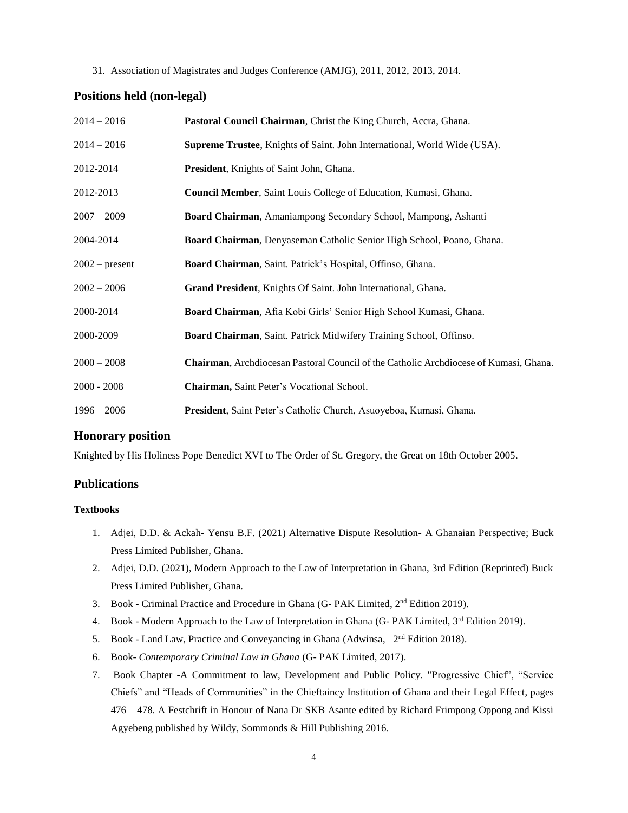#### 31. Association of Magistrates and Judges Conference (AMJG), 2011, 2012, 2013, 2014.

### **Positions held (non-legal)**

| $2014 - 2016$    | Pastoral Council Chairman, Christ the King Church, Accra, Ghana.                      |
|------------------|---------------------------------------------------------------------------------------|
| $2014 - 2016$    | <b>Supreme Trustee, Knights of Saint. John International, World Wide (USA).</b>       |
| 2012-2014        | President, Knights of Saint John, Ghana.                                              |
| 2012-2013        | Council Member, Saint Louis College of Education, Kumasi, Ghana.                      |
| $2007 - 2009$    | Board Chairman, Amaniampong Secondary School, Mampong, Ashanti                        |
| 2004-2014        | Board Chairman, Denyaseman Catholic Senior High School, Poano, Ghana.                 |
| $2002$ – present | Board Chairman, Saint. Patrick's Hospital, Offinso, Ghana.                            |
| $2002 - 2006$    | Grand President, Knights Of Saint. John International, Ghana.                         |
| 2000-2014        | Board Chairman, Afia Kobi Girls' Senior High School Kumasi, Ghana.                    |
| 2000-2009        | Board Chairman, Saint. Patrick Midwifery Training School, Offinso.                    |
| $2000 - 2008$    | Chairman, Archdiocesan Pastoral Council of the Catholic Archdiocese of Kumasi, Ghana. |
| $2000 - 2008$    | Chairman, Saint Peter's Vocational School.                                            |
| $1996 - 2006$    | President, Saint Peter's Catholic Church, Asuoyeboa, Kumasi, Ghana.                   |

### **Honorary position**

Knighted by His Holiness Pope Benedict XVI to The Order of St. Gregory, the Great on 18th October 2005.

#### **Publications**

#### **Textbooks**

- 1. Adjei, D.D. & Ackah- Yensu B.F. (2021) Alternative Dispute Resolution- A Ghanaian Perspective; Buck Press Limited Publisher, Ghana.
- 2. Adjei, D.D. (2021), Modern Approach to the Law of Interpretation in Ghana, 3rd Edition (Reprinted) Buck Press Limited Publisher, Ghana.
- 3. Book Criminal Practice and Procedure in Ghana (G-PAK Limited, 2<sup>nd</sup> Edition 2019).
- 4. Book Modern Approach to the Law of Interpretation in Ghana (G- PAK Limited,  $3<sup>rd</sup>$  Edition 2019).
- 5. Book Land Law, Practice and Conveyancing in Ghana (Adwinsa, 2<sup>nd</sup> Edition 2018).
- 6. Book- *Contemporary Criminal Law in Ghana* (G- PAK Limited, 2017).
- 7. Book Chapter -A Commitment to law, Development and Public Policy. "Progressive Chief", "Service Chiefs" and "Heads of Communities" in the Chieftaincy Institution of Ghana and their Legal Effect, pages 476 – 478. A Festchrift in Honour of Nana Dr SKB Asante edited by Richard Frimpong Oppong and Kissi Agyebeng published by Wildy, Sommonds & Hill Publishing 2016.